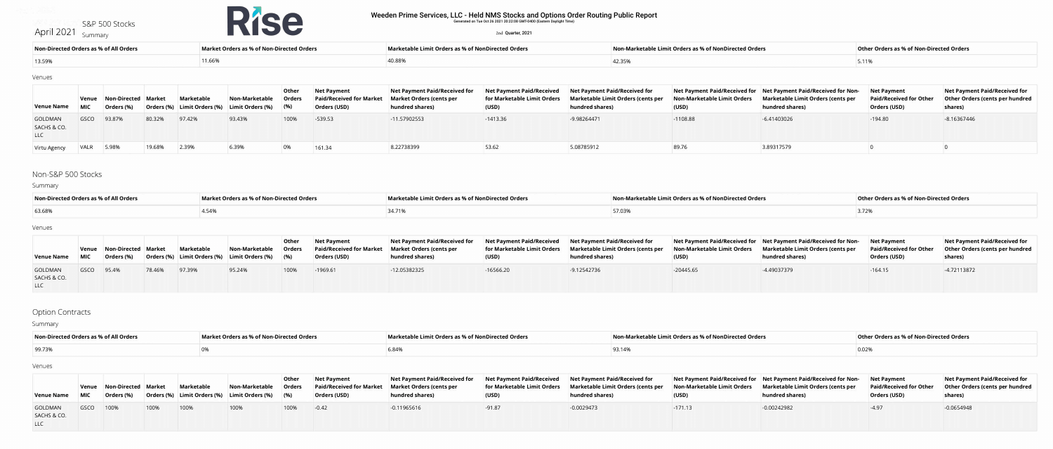#### April 2021 S&P 500 Stocks

Summary



#### Venues

## Non-S&P 500 Stocks

## Summary

#### Venues

# Option Contracts

Summary

| Non-Directed Orders as % of All Orders | Market Orders as % of Non-Directed Orders | <b>Marketable Limit Orders as % of NonDirected Orders</b> | Non-Marketable Limit Orders as % of NonDirected Orders | Other Orders as % of Non-Directed Orders |
|----------------------------------------|-------------------------------------------|-----------------------------------------------------------|--------------------------------------------------------|------------------------------------------|
| 13.59%                                 | 11.66%                                    |                                                           |                                                        |                                          |

| <b>Venue Name</b>                    |             | Venue Non-Directed Market<br>Orders (%) |        | <b>Marketable</b> | Non-Marketable<br><b>Orders (%)</b> Limit Orders (%) Limit Orders (%) | <b>Other</b><br><b>Orders</b><br>(9/6) | <b>Net Payment</b><br><b>Paid/Received for Market</b><br><b>Orders (USD)</b> | Net Payment Paid/Received for<br><b>Market Orders (cents per</b><br>hundred shares) | <b>Net Payment Paid/Received</b><br>(USD) | <b>Net Payment Paid/Received for</b><br>for Marketable Limit Orders Marketable Limit Orders (cents per<br>hundred shares) | (USD)      | Net Payment Paid/Received for Net Payment Paid/Received for Non-<br>Non-Marketable Limit Orders Marketable Limit Orders (cents per<br>hundred shares) | Net Payment<br><b>Paid/Received for Other</b><br><b>Orders (USD)</b> | Net Payment Paid/Received for<br><b>Other Orders (cents per hundred</b><br>shares) |
|--------------------------------------|-------------|-----------------------------------------|--------|-------------------|-----------------------------------------------------------------------|----------------------------------------|------------------------------------------------------------------------------|-------------------------------------------------------------------------------------|-------------------------------------------|---------------------------------------------------------------------------------------------------------------------------|------------|-------------------------------------------------------------------------------------------------------------------------------------------------------|----------------------------------------------------------------------|------------------------------------------------------------------------------------|
| <b>GOLDMAN</b><br>SACHS & CO.<br>LLC | GSCO        | 93.87%                                  | 80.32% | 97.42%            | 93.43%                                                                | 100%                                   | $-539.53$                                                                    | -11.57902553                                                                        | $-1413.36$                                | -9.98264471                                                                                                               | $-1108.88$ | $-6.41403026$                                                                                                                                         | $-194.80$                                                            | -8.16367446                                                                        |
| Virtu Agency                         | <b>VALR</b> | 5.98%                                   | 19.68% | 2.39%             | 6.39%                                                                 |                                        | 161.34                                                                       | 8.22738399                                                                          | 53.62                                     | 5.08785912                                                                                                                | 89.76      | 3.89317579                                                                                                                                            |                                                                      |                                                                                    |

#### Venues

| Non-Directed Orders as % of All Orders | Market Orders as % of Non-Directed Orders | <b>Marketable Limit Orders as % of NonDirected Orders</b> | Non-Marketable Limit Orders as % of NonDirected Orders | <b>Other Orders as % of Non-Directed Orders</b> |
|----------------------------------------|-------------------------------------------|-----------------------------------------------------------|--------------------------------------------------------|-------------------------------------------------|
| 63.68%                                 |                                           | 34.71%                                                    |                                                        |                                                 |

| <b>Venue Name</b>                           | <b>MIC</b> | Venue Non-Directed Market<br>Orders (%) |        | Marketable | Non-Marketable<br>  Orders (%) Limit Orders (%) Limit Orders (%) (%) | <b>Other</b><br><b>Orders</b> | <b>Net Payment</b><br><b>Paid/Received for Market Market Orders (cents per</b><br><b>Orders (USD)</b> | <b>Net Payment Paid/Received for</b><br>hundred shares) | (USD)       | Net Payment Paid/Received Net Payment Paid/Received for<br><b>for Marketable Limit Orders Marketable Limit Orders (cents per</b><br>hundred shares) | (USD)       | Net Payment Paid/Received for Net Payment Paid/Received for Non-<br>Non-Marketable Limit Orders Marketable Limit Orders (cents per<br>hundred shares) | <b>Net Payment</b><br><b>Paid/Received for Other</b><br><b>Orders (USD)</b> | Net Payment Paid/Received for<br><b>Other Orders (cents per hundred</b><br>shares) |
|---------------------------------------------|------------|-----------------------------------------|--------|------------|----------------------------------------------------------------------|-------------------------------|-------------------------------------------------------------------------------------------------------|---------------------------------------------------------|-------------|-----------------------------------------------------------------------------------------------------------------------------------------------------|-------------|-------------------------------------------------------------------------------------------------------------------------------------------------------|-----------------------------------------------------------------------------|------------------------------------------------------------------------------------|
| <b>GOLDMAN</b><br>SACHS & CO.<br><b>LLC</b> | GSCO 95.4% |                                         | 78.46% | 97.39%     | 95.24%                                                               | 100%                          | $-1969.61$                                                                                            | -12.05382325                                            | $-16566.20$ | $-9.12542736$                                                                                                                                       | $-20445.65$ | -4.49037379                                                                                                                                           | -164.15                                                                     | -4.72113872                                                                        |

| Non-Directed Orders as % of All Orders | Market Orders as % of Non-Directed Orders | Marketable Limit Orders as % of NonDirected Orders | Non-Marketable Limit Orders as % of NonDirected Orders | <b>Other Orders as % of Non-Directed Orders</b> |
|----------------------------------------|-------------------------------------------|----------------------------------------------------|--------------------------------------------------------|-------------------------------------------------|
| 99.73%                                 |                                           |                                                    |                                                        |                                                 |

| Venue Name MIC                                 | Venue Non-Directed Market<br>Orders (%) |      | Marketable | Non-Marketable Orders<br><b>Orders (%)</b> Limit Orders (%) Limit Orders (%) (%) | <b>Other</b> | <b>Net Payment</b><br><b>Paid/Received for Market   Market Orders (cents per</b><br>Orders (USD) | Net Payment Paid/Received for Net Payment Paid/Received Net Payment Paid/Received for<br>hundred shares) | (USD)    | for Marketable Limit Orders Marketable Limit Orders (cents per<br>hundred shares) | (USD)     | Net Payment Paid/Received for Net Payment Paid/Received for Non- Net Payment<br>Non-Marketable Limit Orders   Marketable Limit Orders (cents per<br>hundred shares) | <b>Paid/Received for Other</b><br>Orders (USD) | Net Payment Paid/Received for<br><b>Other Orders (cents per hundred</b><br>shares) |
|------------------------------------------------|-----------------------------------------|------|------------|----------------------------------------------------------------------------------|--------------|--------------------------------------------------------------------------------------------------|----------------------------------------------------------------------------------------------------------|----------|-----------------------------------------------------------------------------------|-----------|---------------------------------------------------------------------------------------------------------------------------------------------------------------------|------------------------------------------------|------------------------------------------------------------------------------------|
| GOLDMAN GSCO 100%<br>SACHS & CO.<br><b>LLC</b> |                                         | 100% | 100%       | 100%                                                                             | 100%         | $-0.42$                                                                                          | $-0.11965616$                                                                                            | $-91.87$ | $-0.0029473$                                                                      | $-171.13$ | $-0.00242982$                                                                                                                                                       |                                                | $-0.0654948$                                                                       |

### Weeden Prime Services, LLC - Held NMS Stocks and Options Order Routing Public Report

Generated on Tue Oct 26 2021 20:22:08 GMT-0400 (Eastern Daylight Time)

2nd Quarter, 2021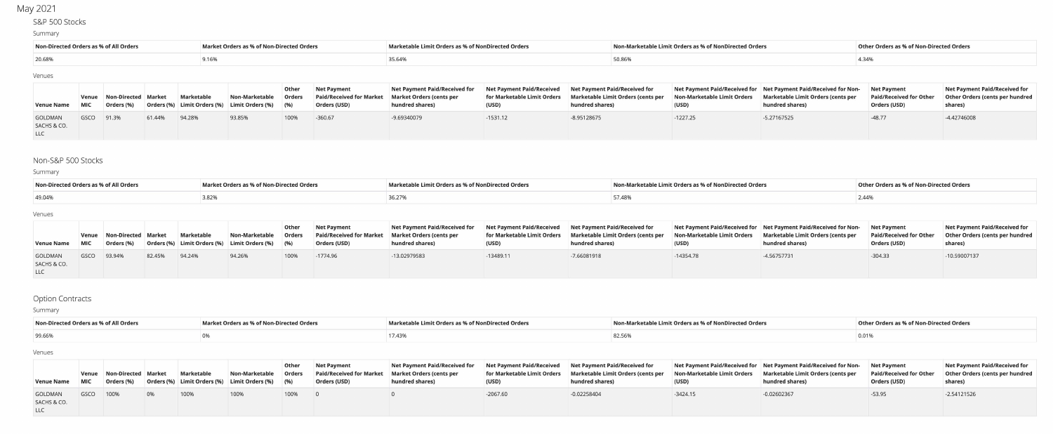# May 2021

# S&P 500 Stocks

## Summary

| Non-Directed Orders as % of All Orders | Market Orders as % of Non-Directed Orders | Marketable Limit Orders as % of NonDirected Orders | Non-Marketable Limit Orders as % of NonDirected Orders | Other Orders as % of Non-Directed Orders |
|----------------------------------------|-------------------------------------------|----------------------------------------------------|--------------------------------------------------------|------------------------------------------|
| 20.68%                                 |                                           | 35.64%                                             |                                                        |                                          |

#### Venues

| <b>Venue Name MIC</b>                |            | Venue Non-Directed Market<br>Orders (%) |        | Marketable | Non-Marketable<br>Orders (%) Limit Orders (%) Limit Orders (%) (%) | Other<br><b>Orders</b> | <b>Net Payment</b><br>Paid/Received for Market   Market Orders (cents per<br>Orders (USD) | Net Payment Paid/Received for<br>hundred shares) | (USD)      | Net Payment Paid/Received Net Payment Paid/Received for<br>for Marketable Limit Orders Marketable Limit Orders (cents per<br>hundred shares) | (USD)      | Net Payment Paid/Received for Net Payment Paid/Received for Non- Net Payment<br>Non-Marketable Limit Orders Marketable Limit Orders (cents per<br>hundred shares) | <b>Paid/Received for Other</b><br>Orders (USD) | Net Payment Paid/Received for<br>Other Orders (cents per hundred<br>shares) |
|--------------------------------------|------------|-----------------------------------------|--------|------------|--------------------------------------------------------------------|------------------------|-------------------------------------------------------------------------------------------|--------------------------------------------------|------------|----------------------------------------------------------------------------------------------------------------------------------------------|------------|-------------------------------------------------------------------------------------------------------------------------------------------------------------------|------------------------------------------------|-----------------------------------------------------------------------------|
| <b>GOLDMAN</b><br>SACHS & CO.<br>LLC | GSCO 91.3% |                                         | 61.44% | 94.28%     | 93.85%                                                             | 100%                   | $-360.67$                                                                                 | -9.69340079                                      | $-1531.12$ | -8.95128675                                                                                                                                  | $-1227.25$ | -5.27167525                                                                                                                                                       | $-48.77$                                       | -4.42746008                                                                 |

# Non-S&P 500 Stocks

## Summary

| Non-Directed Orders as % of All Orders | Market Orders as % of Non-Directed Orders | Marketable Limit Orders as % of NonDirected Orders | Non-Marketable Limit Orders as % of NonDirected Orders | Other Orders as % of Non-Directed Orders |
|----------------------------------------|-------------------------------------------|----------------------------------------------------|--------------------------------------------------------|------------------------------------------|
| 49.04%                                 | .82%                                      |                                                    | 57.48%                                                 | 2.44%                                    |

## Venues

| Venue Name MIC                       |             | Venue Non-Directed Market<br>Orders (%) |        | Marketable | Non-Marketable<br>Orders (%) Limit Orders (%) Limit Orders (%) (%) | Other<br><b>Orders</b> | <b>Net Payment</b><br><b>Paid/Received for Market</b><br>Orders (USD) | Net Payment Paid/Received for Net Payment Paid/Received Net Payment Paid/Received for<br><b>Market Orders (cents per</b><br>hundred shares) | (USD)       | for Marketable Limit Orders Marketable Limit Orders (cents per<br>hundred shares) | (USD)       | Net Payment Paid/Received for Net Payment Paid/Received for Non-<br>Non-Marketable Limit Orders Marketable Limit Orders (cents per<br>hundred shares) | <b>Net Payment</b><br>Orders (USD) | Net Payment Paid/Received for<br>Paid/Received for Other  Other Orders (cents per hundred<br>shares) |
|--------------------------------------|-------------|-----------------------------------------|--------|------------|--------------------------------------------------------------------|------------------------|-----------------------------------------------------------------------|---------------------------------------------------------------------------------------------------------------------------------------------|-------------|-----------------------------------------------------------------------------------|-------------|-------------------------------------------------------------------------------------------------------------------------------------------------------|------------------------------------|------------------------------------------------------------------------------------------------------|
| GOLDMAN<br>SACHS & CO.<br><b>LLC</b> | GSCO 93.94% |                                         | 82.45% | 94.24%     | 94.26%                                                             | 100%                   | $-1774.96$                                                            | -13.02979583                                                                                                                                | $-13489.11$ | -7.66081918                                                                       | $-14354.78$ | -4.56757731                                                                                                                                           | $-304.33$                          | -10.59007137                                                                                         |

# **Option Contracts**

## Summary

| Non-Directed Orders as % of All Orders | <b>Market Orders as % of Non-Directed Orders</b> | <b>Marketable Limit Orders as % of NonDirected Orders</b> | Non-Marketable Limit Orders as % of NonDirected Orders | Other Orders as % of Non-Directed Orders |
|----------------------------------------|--------------------------------------------------|-----------------------------------------------------------|--------------------------------------------------------|------------------------------------------|
| 99.66%                                 |                                                  | 17.43%                                                    |                                                        |                                          |

#### Venues

| Venue Name MIC                       |           | Venue Non-Directed Market<br>Orders (%) | Marketable | Non-Marketable<br>Orders (%) Limit Orders (%) Limit Orders (%) (%) | Other<br><b>Orders</b> | <b>Net Payment</b><br>Paid/Received for Market   Market Orders (cents per<br><b>Orders (USD)</b> | Net Payment Paid/Received for Net Payment Paid/Received Net Payment Paid/Received for<br>hundred shares) | (USD)      | for Marketable Limit Orders Marketable Limit Orders (cents per<br>hundred shares) | (USD)      | Net Payment Paid/Received for Net Payment Paid/Received for Non-<br>Non-Marketable Limit Orders Marketable Limit Orders (cents per<br>hundred shares) | Net Payment<br><b>Paid/Received for Other</b><br>Orders (USD) | Net Payment Paid/Received for<br><b>Other Orders (cents per hundred</b><br>shares) |
|--------------------------------------|-----------|-----------------------------------------|------------|--------------------------------------------------------------------|------------------------|--------------------------------------------------------------------------------------------------|----------------------------------------------------------------------------------------------------------|------------|-----------------------------------------------------------------------------------|------------|-------------------------------------------------------------------------------------------------------------------------------------------------------|---------------------------------------------------------------|------------------------------------------------------------------------------------|
| GOLDMAN<br>SACHS & CO.<br><b>LLC</b> | GSCO 100% |                                         | 100%       | 100%                                                               | 100%                   |                                                                                                  |                                                                                                          | $-2067.60$ | $-0.02258404$                                                                     | $-3424.15$ | $-0.02602367$                                                                                                                                         | $-53.95$                                                      | $-2.54121526$                                                                      |